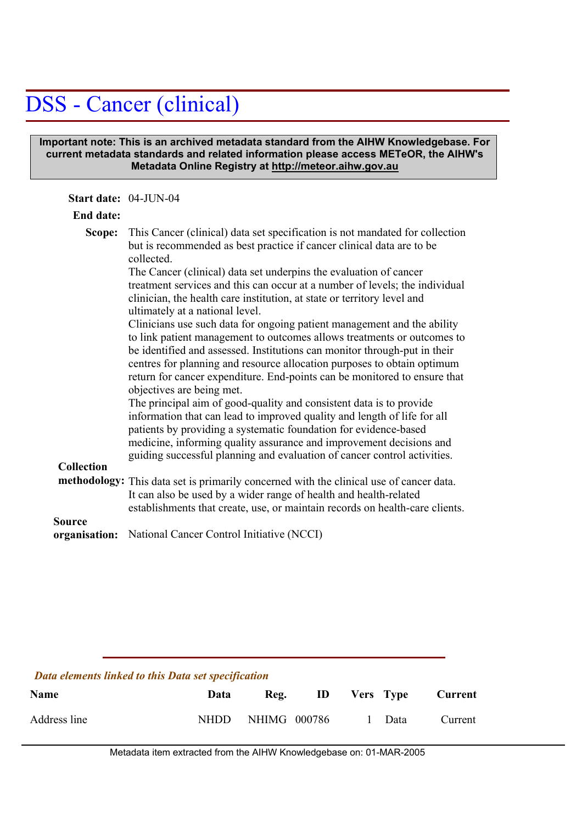## DSS - Cancer (clinical)

## **Important note: This is an archived metadata standard from the AIHW Knowledgebase. For current metadata standards and related information please access METeOR, the AIHW's Metadata Online Registry at http://meteor.aihw.gov.au**

| <b>End date:</b><br>This Cancer (clinical) data set specification is not mandated for collection<br>Scope:<br>but is recommended as best practice if cancer clinical data are to be                                                                                                                                                                                                                                                                                                                                                                                                                                                                           |  |
|---------------------------------------------------------------------------------------------------------------------------------------------------------------------------------------------------------------------------------------------------------------------------------------------------------------------------------------------------------------------------------------------------------------------------------------------------------------------------------------------------------------------------------------------------------------------------------------------------------------------------------------------------------------|--|
|                                                                                                                                                                                                                                                                                                                                                                                                                                                                                                                                                                                                                                                               |  |
| collected.<br>The Cancer (clinical) data set underpins the evaluation of cancer<br>treatment services and this can occur at a number of levels; the individual<br>clinician, the health care institution, at state or territory level and<br>ultimately at a national level.<br>Clinicians use such data for ongoing patient management and the ability<br>to link patient management to outcomes allows treatments or outcomes to                                                                                                                                                                                                                            |  |
| be identified and assessed. Institutions can monitor through-put in their<br>centres for planning and resource allocation purposes to obtain optimum<br>return for cancer expenditure. End-points can be monitored to ensure that<br>objectives are being met.<br>The principal aim of good-quality and consistent data is to provide<br>information that can lead to improved quality and length of life for all<br>patients by providing a systematic foundation for evidence-based<br>medicine, informing quality assurance and improvement decisions and<br>guiding successful planning and evaluation of cancer control activities.<br><b>Collection</b> |  |
| methodology: This data set is primarily concerned with the clinical use of cancer data.<br>It can also be used by a wider range of health and health-related<br>establishments that create, use, or maintain records on health-care clients.                                                                                                                                                                                                                                                                                                                                                                                                                  |  |
| Source<br>National Cancer Control Initiative (NCCI)<br>organisation:                                                                                                                                                                                                                                                                                                                                                                                                                                                                                                                                                                                          |  |

| Data elements linked to this Data set specification |       |              |     |  |           |         |
|-----------------------------------------------------|-------|--------------|-----|--|-----------|---------|
| <b>Name</b>                                         | Data  | Reg.         | HD. |  | Vers Type | Current |
| Address line                                        | NHDD. | NHIMG 000786 |     |  | Data      | Current |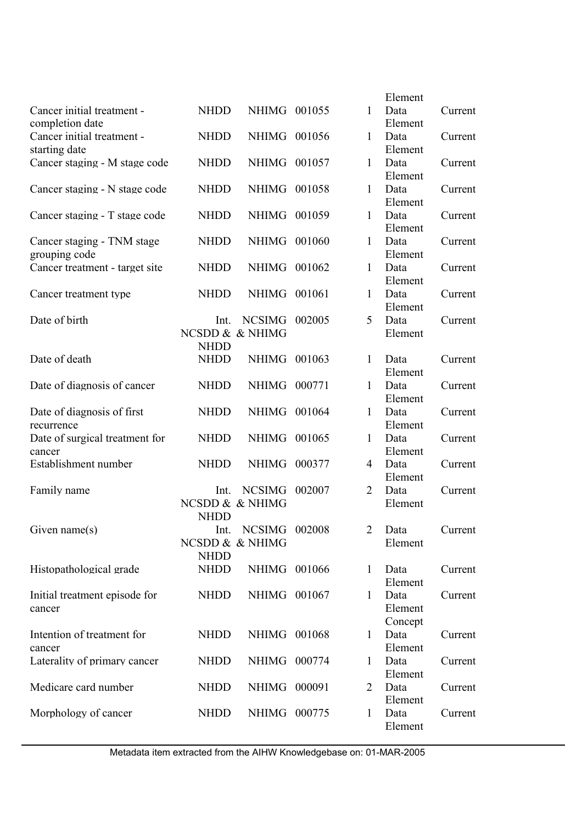|                                |                 |                 |        |                | Element         |         |
|--------------------------------|-----------------|-----------------|--------|----------------|-----------------|---------|
| Cancer initial treatment -     | <b>NHDD</b>     | NHIMG 001055    |        | 1              | Data            | Current |
| completion date                |                 |                 |        |                | Element         |         |
| Cancer initial treatment -     | <b>NHDD</b>     | NHIMG 001056    |        | 1              | Data            | Current |
| starting date                  |                 |                 |        |                | Element         |         |
| Cancer staging - M stage code  | <b>NHDD</b>     | NHIMG 001057    |        | 1              | Data            | Current |
|                                |                 |                 |        |                | Element         |         |
| Cancer staging - N stage code  | <b>NHDD</b>     | <b>NHIMG</b>    | 001058 | 1              | Data            | Current |
|                                |                 |                 |        |                | Element         |         |
| Cancer staging - T stage code  | <b>NHDD</b>     | <b>NHIMG</b>    | 001059 | $\mathbf{1}$   | Data            | Current |
|                                |                 |                 |        |                | Element         |         |
| Cancer staging - TNM stage     | <b>NHDD</b>     | NHIMG 001060    |        | 1              | Data            | Current |
| grouping code                  |                 |                 |        |                | Element         |         |
| Cancer treatment - target site | <b>NHDD</b>     | NHIMG 001062    |        | 1              | Data            | Current |
|                                |                 |                 |        |                | Element         |         |
| Cancer treatment type          | <b>NHDD</b>     | <b>NHIMG</b>    | 001061 | 1              | Data            | Current |
|                                |                 |                 |        |                | Element         |         |
| Date of birth                  | Int.            | <b>NCSIMG</b>   | 002005 | 5              | Data            | Current |
|                                | NCSDD & & NHIMG |                 |        |                | Element         |         |
|                                | <b>NHDD</b>     |                 |        |                |                 |         |
| Date of death                  | <b>NHDD</b>     | <b>NHIMG</b>    | 001063 | 1              | Data            | Current |
|                                |                 |                 |        |                | Element         |         |
| Date of diagnosis of cancer    | <b>NHDD</b>     | <b>NHIMG</b>    | 000771 | 1              | Data            | Current |
|                                |                 |                 |        |                | Element         |         |
| Date of diagnosis of first     | <b>NHDD</b>     | <b>NHIMG</b>    | 001064 | 1              | Data            | Current |
| recurrence                     |                 |                 |        |                | Element         |         |
| Date of surgical treatment for | <b>NHDD</b>     | <b>NHIMG</b>    | 001065 | 1              | Data            | Current |
| cancer                         |                 |                 |        |                | Element         |         |
| Establishment number           | <b>NHDD</b>     | <b>NHIMG</b>    | 000377 | 4              | Data            | Current |
|                                |                 |                 |        |                | Element         |         |
| Family name                    | Int.            | <b>NCSIMG</b>   | 002007 | $\overline{2}$ | Data            | Current |
|                                |                 | NCSDD & & NHIMG |        |                | Element         |         |
|                                | <b>NHDD</b>     |                 |        |                |                 |         |
| Given name $(s)$               | Int.            | NCSIMG 002008   |        | 2              | Data            | Current |
|                                |                 | NCSDD & & NHIMG |        |                | Element         |         |
|                                | <b>NHDD</b>     |                 |        |                |                 |         |
| Histopathological grade        | <b>NHDD</b>     | NHIMG 001066    |        | $\mathbf{1}$   | Data            | Current |
|                                |                 |                 |        |                | Element         |         |
| Initial treatment episode for  | <b>NHDD</b>     | NHIMG 001067    |        | $\mathbf{1}$   | Data            | Current |
| cancer                         |                 |                 |        |                | Element         |         |
|                                |                 |                 |        |                | Concept         |         |
| Intention of treatment for     | <b>NHDD</b>     | NHIMG 001068    |        | $\mathbf{1}$   | Data            | Current |
| cancer                         |                 |                 |        |                | Element         |         |
| Laterality of primary cancer   | <b>NHDD</b>     | NHIMG 000774    |        | 1              | Data            | Current |
|                                |                 |                 |        |                | Element         |         |
|                                |                 |                 | 000091 |                |                 |         |
| Medicare card number           | <b>NHDD</b>     | <b>NHIMG</b>    |        | 2              | Data<br>Element | Current |
| Morphology of cancer           | <b>NHDD</b>     | NHIMG 000775    |        | 1              | Data            | Current |
|                                |                 |                 |        |                | Element         |         |
|                                |                 |                 |        |                |                 |         |